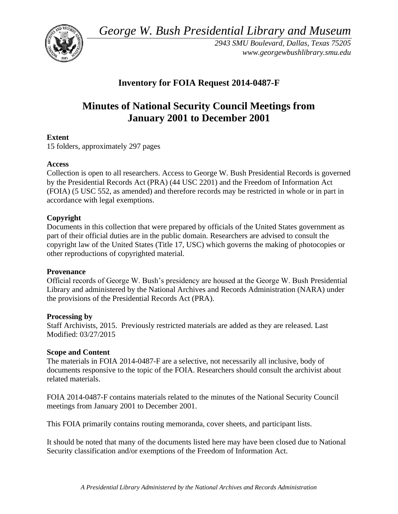*George W. Bush Presidential Library and Museum* 



*2943 SMU Boulevard, Dallas, Texas 75205 <www.georgewbushlibrary.smu.edu>* 

## **Inventory for FOIA Request 2014-0487-F**

# **Minutes of National Security Council Meetings from January 2001 to December 2001**

## **Extent**

15 folders, approximately 297 pages

#### **Access**

Collection is open to all researchers. Access to George W. Bush Presidential Records is governed by the Presidential Records Act (PRA) (44 USC 2201) and the Freedom of Information Act (FOIA) (5 USC 552, as amended) and therefore records may be restricted in whole or in part in accordance with legal exemptions.

## **Copyright**

 Documents in this collection that were prepared by officials of the United States government as part of their official duties are in the public domain. Researchers are advised to consult the copyright law of the United States (Title 17, USC) which governs the making of photocopies or other reproductions of copyrighted material.

#### **Provenance**

Official records of George W. Bush's presidency are housed at the George W. Bush Presidential Library and administered by the National Archives and Records Administration (NARA) under the provisions of the Presidential Records Act (PRA).

#### **Processing by**

Staff Archivists, 2015. Previously restricted materials are added as they are released. Last Modified: 03/27/2015

## **Scope and Content**

 documents responsive to the topic of the FOIA. Researchers should consult the archivist about The materials in FOIA 2014-0487-F are a selective, not necessarily all inclusive, body of related materials.

FOIA 2014-0487-F contains materials related to the minutes of the National Security Council meetings from January 2001 to December 2001.

This FOIA primarily contains routing memoranda, cover sheets, and participant lists.

 It should be noted that many of the documents listed here may have been closed due to National Security classification and/or exemptions of the Freedom of Information Act.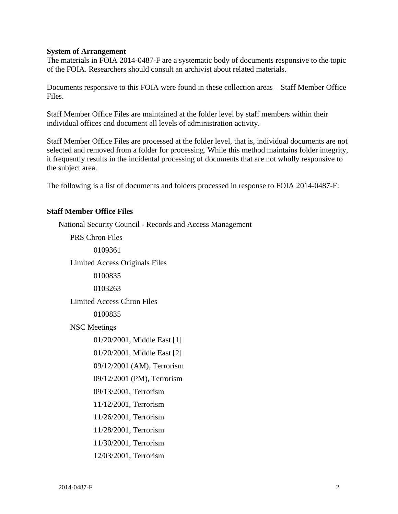#### **System of Arrangement**

 The materials in FOIA 2014-0487-F are a systematic body of documents responsive to the topic of the FOIA. Researchers should consult an archivist about related materials.

Documents responsive to this FOIA were found in these collection areas – Staff Member Office Files.

 Staff Member Office Files are maintained at the folder level by staff members within their individual offices and document all levels of administration activity.

Staff Member Office Files are processed at the folder level, that is, individual documents are not selected and removed from a folder for processing. While this method maintains folder integrity, it frequently results in the incidental processing of documents that are not wholly responsive to the subject area.

The following is a list of documents and folders processed in response to FOIA 2014-0487-F:

#### **Staff Member Office Files**

National Security Council - Records and Access Management PRS Chron Files 0109361 Limited Access Originals Files 0100835 0103263 Limited Access Chron Files 0100835 NSC Meetings 01/20/2001, Middle East [1] 01/20/2001, Middle East [2] 09/12/2001 (AM), Terrorism 09/12/2001 (PM), Terrorism 09/13/2001, Terrorism 11/12/2001, Terrorism 11/26/2001, Terrorism 11/28/2001, Terrorism 11/30/2001, Terrorism 12/03/2001, Terrorism